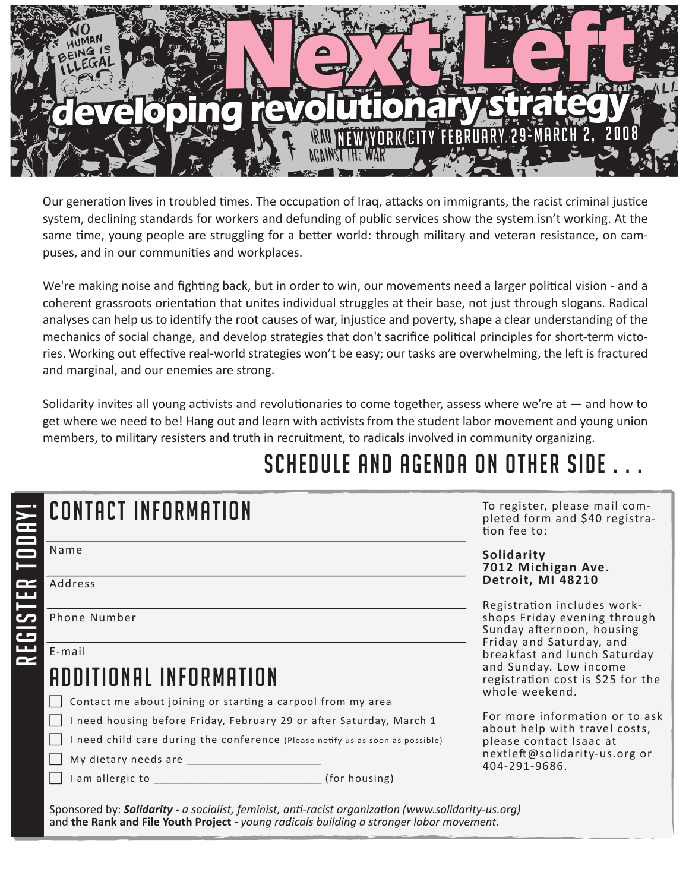

Our generation lives in troubled times. The occupation of Iraq, attacks on immigrants, the racist criminal justice system, declining standards for workers and defunding of public services show the system isn't working. At the same time, young people are struggling for a better world: through military and veteran resistance, on campuses, and in our communities and workplaces.

We're making noise and fighting back, but in order to win, our movements need a larger political vision - and a coherent grassroots orientation that unites individual struggles at their base, not just through slogans. Radical analyses can help us to identify the root causes of war, injustice and poverty, shape a clear understanding of the mechanics of social change, and develop strategies that don't sacrifice political principles for short-term victories. Working out effective real-world strategies won't be easy; our tasks are overwhelming, the left is fractured and marginal, and our enemies are strong.

Solidarity invites all young activists and revolutionaries to come together, assess where we're at — and how to get where we need to be! Hang out and learn with activists from the student labor movement and young union members, to military resisters and truth in recruitment, to radicals involved in community organizing.

# SCHEDULE AND AGENDA ON OTHER SIDE

| <b>CONTACT INFORMATION</b>                                                     |  | To register, please mail com-<br>pleted form and \$40 registra-<br>tion fee to:          |  |
|--------------------------------------------------------------------------------|--|------------------------------------------------------------------------------------------|--|
| Name                                                                           |  | Solidarity<br>7012 Michigan Ave.                                                         |  |
| Address                                                                        |  | Detroit, MI 48210                                                                        |  |
| Phone Number                                                                   |  | Registration includes work-<br>shops Friday evening through<br>Sunday afternoon, housing |  |
| E-mail                                                                         |  | Friday and Saturday, and<br>breakfast and lunch Saturday                                 |  |
| ADDITIONAL INFORMATION                                                         |  | and Sunday. Low income<br>registration cost is \$25 for the<br>whole weekend.            |  |
| Contact me about joining or starting a carpool from my area                    |  |                                                                                          |  |
| I need housing before Friday, February 29 or after Saturday, March 1           |  | For more information or to ask<br>about help with travel costs,                          |  |
| I need child care during the conference (Please notify us as soon as possible) |  | please contact Isaac at                                                                  |  |
| My dietary needs are                                                           |  | nextleft@solidarity-us.org or<br>404-291-9686.                                           |  |
|                                                                                |  |                                                                                          |  |